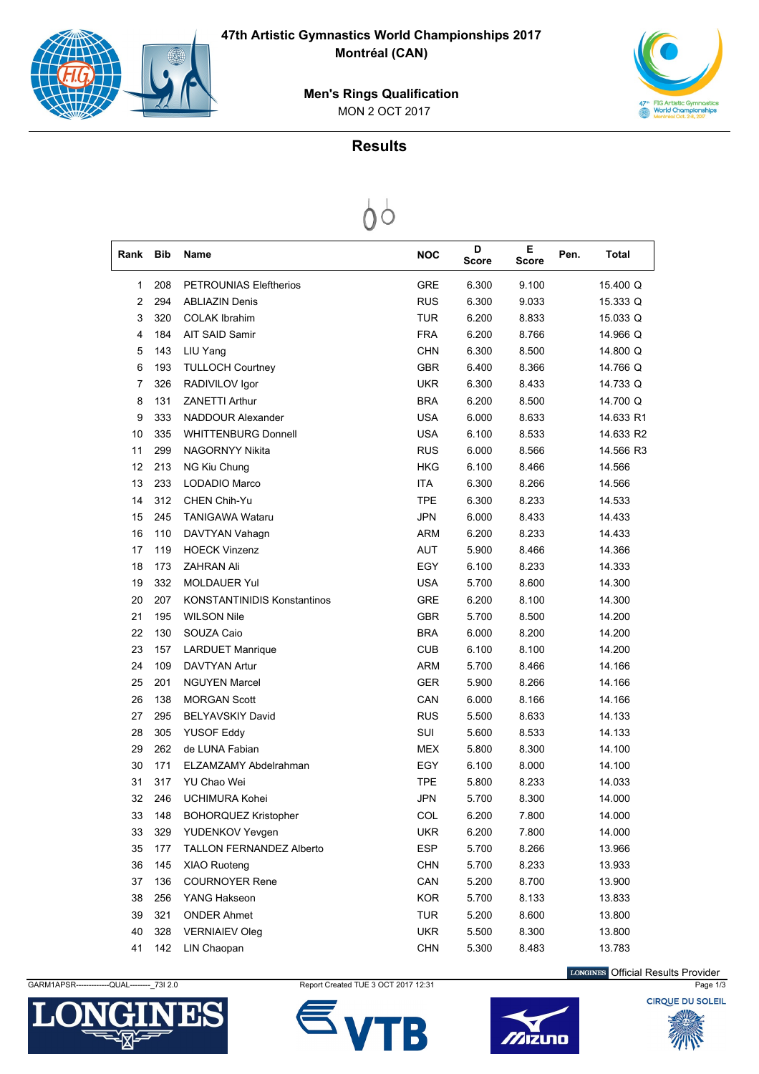



 MON 2 OCT 2017 **Men's Rings Qualification**

## **Results**

| Rank           | Bib | Name                               |            | <b>NOC</b> | D<br>Score | Е<br>Score | Pen. | Total     |
|----------------|-----|------------------------------------|------------|------------|------------|------------|------|-----------|
| 1              | 208 | <b>PETROUNIAS Eleftherios</b>      |            | <b>GRE</b> | 6.300      | 9.100      |      | 15.400 Q  |
| $\overline{2}$ | 294 | <b>ABLIAZIN Denis</b>              |            | <b>RUS</b> | 6.300      | 9.033      |      | 15.333 Q  |
| 3              | 320 | <b>COLAK Ibrahim</b>               |            | TUR        | 6.200      | 8.833      |      | 15.033 Q  |
| 4              | 184 | AIT SAID Samir                     |            | <b>FRA</b> | 6.200      | 8.766      |      | 14.966 Q  |
| 5              | 143 | LIU Yang                           |            | <b>CHN</b> | 6.300      | 8.500      |      | 14.800 Q  |
| 6              | 193 | <b>TULLOCH Courtney</b>            |            | <b>GBR</b> | 6.400      | 8.366      |      | 14.766 Q  |
| 7              | 326 | RADIVILOV Igor                     |            | <b>UKR</b> | 6.300      | 8.433      |      | 14.733 Q  |
| 8              | 131 | <b>ZANETTI Arthur</b>              |            | <b>BRA</b> | 6.200      | 8.500      |      | 14.700 Q  |
| 9              | 333 | NADDOUR Alexander                  |            | <b>USA</b> | 6.000      | 8.633      |      | 14.633 R1 |
| 10             | 335 | <b>WHITTENBURG Donnell</b>         |            | <b>USA</b> | 6.100      | 8.533      |      | 14.633 R2 |
| 11             | 299 | NAGORNYY Nikita                    |            | <b>RUS</b> | 6.000      | 8.566      |      | 14.566 R3 |
| 12             | 213 | NG Kiu Chung                       |            | <b>HKG</b> | 6.100      | 8.466      |      | 14.566    |
| 13             | 233 | LODADIO Marco                      | <b>ITA</b> |            | 6.300      | 8.266      |      | 14.566    |
| 14             | 312 | CHEN Chih-Yu                       |            | <b>TPE</b> | 6.300      | 8.233      |      | 14.533    |
| 15             | 245 | <b>TANIGAWA Wataru</b>             | <b>JPN</b> |            | 6.000      | 8.433      |      | 14.433    |
| 16             | 110 | DAVTYAN Vahagn                     |            | <b>ARM</b> | 6.200      | 8.233      |      | 14.433    |
| 17             | 119 | <b>HOECK Vinzenz</b>               |            | <b>AUT</b> | 5.900      | 8.466      |      | 14.366    |
| 18             | 173 | <b>ZAHRAN Ali</b>                  |            | EGY        | 6.100      | 8.233      |      | 14.333    |
| 19             | 332 | <b>MOLDAUER Yul</b>                |            | <b>USA</b> | 5.700      | 8.600      |      | 14.300    |
| 20             | 207 | <b>KONSTANTINIDIS Konstantinos</b> |            | GRE        | 6.200      | 8.100      |      | 14.300    |
| 21             | 195 | <b>WILSON Nile</b>                 |            | <b>GBR</b> | 5.700      | 8.500      |      | 14.200    |
| 22             | 130 | SOUZA Caio                         |            | <b>BRA</b> | 6.000      | 8.200      |      | 14.200    |
| 23             | 157 | <b>LARDUET Manrique</b>            |            | <b>CUB</b> | 6.100      | 8.100      |      | 14.200    |
| 24             | 109 | <b>DAVTYAN Artur</b>               |            | <b>ARM</b> | 5.700      | 8.466      |      | 14.166    |
| 25             | 201 | <b>NGUYEN Marcel</b>               |            | <b>GER</b> | 5.900      | 8.266      |      | 14.166    |
| 26             | 138 | <b>MORGAN Scott</b>                |            | CAN        | 6.000      | 8.166      |      | 14.166    |
| 27             | 295 | <b>BELYAVSKIY David</b>            |            | <b>RUS</b> | 5.500      | 8.633      |      | 14.133    |
| 28             | 305 | <b>YUSOF Eddy</b>                  | SUI        |            | 5.600      | 8.533      |      | 14.133    |
| 29             | 262 | de LUNA Fabian                     |            | <b>MEX</b> | 5.800      | 8.300      |      | 14.100    |
| 30             | 171 | ELZAMZAMY Abdelrahman              |            | EGY        | 6.100      | 8.000      |      | 14.100    |
| 31             | 317 | YU Chao Wei                        |            | <b>TPE</b> | 5.800      | 8.233      |      | 14.033    |
| 32             | 246 | UCHIMURA Kohei                     |            | <b>JPN</b> | 5.700      | 8.300      |      | 14.000    |
| 33             | 148 | <b>BOHORQUEZ Kristopher</b>        |            | COL        | 6.200      | 7.800      |      | 14.000    |
| 33             | 329 | YUDENKOV Yevgen                    |            | <b>UKR</b> | 6.200      | 7.800      |      | 14.000    |
| 35             | 177 | TALLON FERNANDEZ Alberto           |            | <b>ESP</b> | 5.700      | 8.266      |      | 13.966    |
| 36             | 145 | XIAO Ruoteng                       |            | <b>CHN</b> | 5.700      | 8.233      |      | 13.933    |
| 37             | 136 | <b>COURNOYER Rene</b>              |            | CAN        | 5.200      | 8.700      |      | 13.900    |
| 38             | 256 | YANG Hakseon                       |            | <b>KOR</b> | 5.700      | 8.133      |      | 13.833    |
| 39             | 321 | <b>ONDER Ahmet</b>                 |            | <b>TUR</b> | 5.200      | 8.600      |      | 13.800    |
| 40             | 328 | <b>VERNIAIEV Oleg</b>              |            | <b>UKR</b> | 5.500      | 8.300      |      | 13.800    |
| 41             | 142 | LIN Chaopan                        |            | <b>CHN</b> | 5.300      | 8.483      |      | 13.783    |



GARM1APSR------------QUAL---------\_73I 2.0 Report Created TUE 3 OCT 2017 12:31 Page 1/3 Page 1/3





LONGINES Official Results Provider

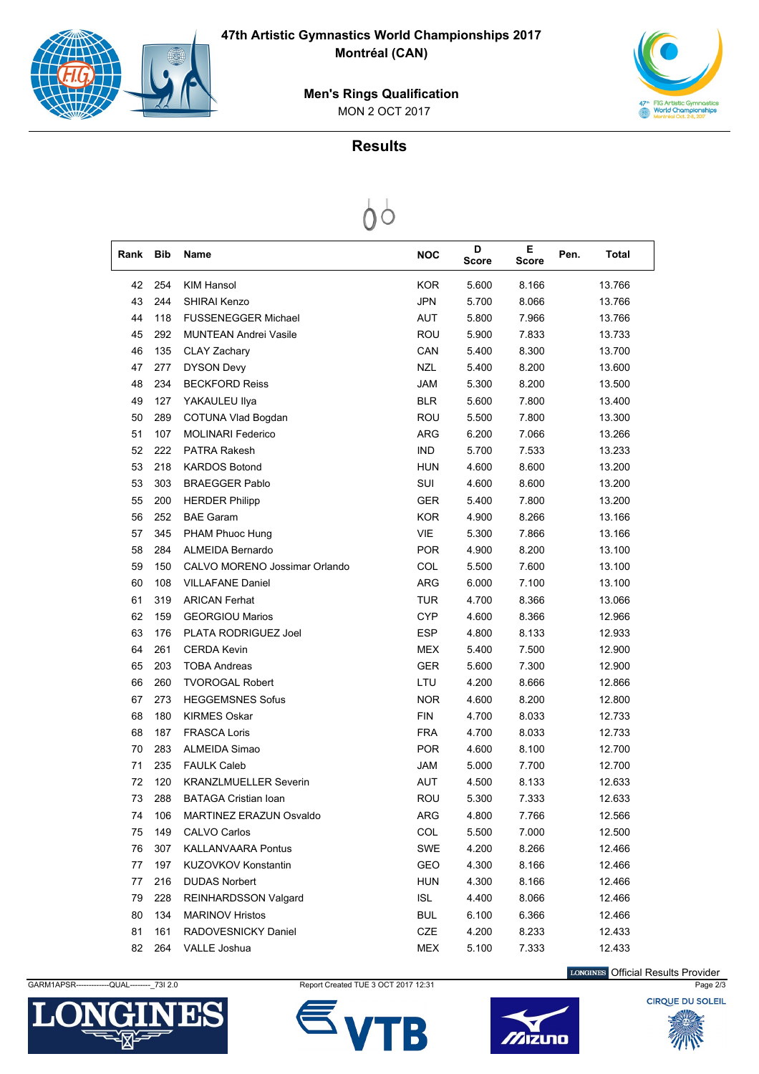

**47th Artistic Gymnastics World Championships 2017 Montréal (CAN)**



 MON 2 OCT 2017 **Men's Rings Qualification**

## **Results**

 $\bigcirc$ 

| Rank | Bib | Name                          | <b>NOC</b> | D<br>Score | Е<br>Score | Pen. | Total  |  |
|------|-----|-------------------------------|------------|------------|------------|------|--------|--|
| 42   | 254 | <b>KIM Hansol</b>             | <b>KOR</b> | 5.600      | 8.166      |      | 13.766 |  |
| 43   | 244 | <b>SHIRAI Kenzo</b>           | <b>JPN</b> | 5.700      | 8.066      |      | 13.766 |  |
| 44   | 118 | <b>FUSSENEGGER Michael</b>    | <b>AUT</b> | 5.800      | 7.966      |      | 13.766 |  |
| 45   | 292 | <b>MUNTEAN Andrei Vasile</b>  | ROU        | 5.900      | 7.833      |      | 13.733 |  |
| 46   | 135 | CLAY Zachary                  | CAN        | 5.400      | 8.300      |      | 13.700 |  |
| 47   | 277 | <b>DYSON Devy</b>             | <b>NZL</b> | 5.400      | 8.200      |      | 13.600 |  |
| 48   | 234 | <b>BECKFORD Reiss</b>         | <b>JAM</b> | 5.300      | 8.200      |      | 13.500 |  |
| 49   | 127 | YAKAULEU Ilya                 | <b>BLR</b> | 5.600      | 7.800      |      | 13.400 |  |
| 50   | 289 | COTUNA Vlad Bogdan            | ROU        | 5.500      | 7.800      |      | 13.300 |  |
| 51   | 107 | <b>MOLINARI Federico</b>      | <b>ARG</b> | 6.200      | 7.066      |      | 13.266 |  |
| 52   | 222 | <b>PATRA Rakesh</b>           | <b>IND</b> | 5.700      | 7.533      |      | 13.233 |  |
| 53   | 218 | <b>KARDOS Botond</b>          | HUN        | 4.600      | 8.600      |      | 13.200 |  |
| 53   | 303 | <b>BRAEGGER Pablo</b>         | SUI        | 4.600      | 8.600      |      | 13.200 |  |
| 55   | 200 | <b>HERDER Philipp</b>         | <b>GER</b> | 5.400      | 7.800      |      | 13.200 |  |
| 56   | 252 | <b>BAE Garam</b>              | <b>KOR</b> | 4.900      | 8.266      |      | 13.166 |  |
| 57   | 345 | PHAM Phuoc Hung               | <b>VIE</b> | 5.300      | 7.866      |      | 13.166 |  |
| 58   | 284 | ALMEIDA Bernardo              | <b>POR</b> | 4.900      | 8.200      |      | 13.100 |  |
| 59   | 150 | CALVO MORENO Jossimar Orlando | COL        | 5.500      | 7.600      |      | 13.100 |  |
| 60   | 108 | <b>VILLAFANE Daniel</b>       | ARG        | 6.000      | 7.100      |      | 13.100 |  |
| 61   | 319 | <b>ARICAN Ferhat</b>          | <b>TUR</b> | 4.700      | 8.366      |      | 13.066 |  |
| 62   | 159 | <b>GEORGIOU Marios</b>        | <b>CYP</b> | 4.600      | 8.366      |      | 12.966 |  |
| 63   | 176 | PLATA RODRIGUEZ Joel          | <b>ESP</b> | 4.800      | 8.133      |      | 12.933 |  |
| 64   | 261 | <b>CERDA Kevin</b>            | <b>MEX</b> | 5.400      | 7.500      |      | 12.900 |  |
| 65   | 203 | <b>TOBA Andreas</b>           | <b>GER</b> | 5.600      | 7.300      |      | 12.900 |  |
| 66   | 260 | <b>TVOROGAL Robert</b>        | LTU        | 4.200      | 8.666      |      | 12.866 |  |
| 67   | 273 | <b>HEGGEMSNES Sofus</b>       | <b>NOR</b> | 4.600      | 8.200      |      | 12.800 |  |
| 68   | 180 | <b>KIRMES Oskar</b>           | <b>FIN</b> | 4.700      | 8.033      |      | 12.733 |  |
| 68   | 187 | <b>FRASCA Loris</b>           | <b>FRA</b> | 4.700      | 8.033      |      | 12.733 |  |
| 70   | 283 | ALMEIDA Simao                 | <b>POR</b> | 4.600      | 8.100      |      | 12.700 |  |
| 71   | 235 | <b>FAULK Caleb</b>            | JAM        | 5.000      | 7.700      |      | 12.700 |  |
| 72   | 120 | <b>KRANZLMUELLER Severin</b>  | <b>AUT</b> | 4.500      | 8.133      |      | 12.633 |  |
| 73   | 288 | <b>BATAGA Cristian Ioan</b>   | ROU        | 5.300      | 7.333      |      | 12.633 |  |
| 74   | 106 | MARTINEZ ERAZUN Osvaldo       | ARG        | 4.800      | 7.766      |      | 12.566 |  |
| 75   | 149 | CALVO Carlos                  | COL        | 5.500      | 7.000      |      | 12.500 |  |
| 76   | 307 | <b>KALLANVAARA Pontus</b>     | SWE        | 4.200      | 8.266      |      | 12.466 |  |
| 77   | 197 | KUZOVKOV Konstantin           | GEO.       | 4.300      | 8.166      |      | 12.466 |  |
| 77   | 216 | <b>DUDAS Norbert</b>          | <b>HUN</b> | 4.300      | 8.166      |      | 12.466 |  |
| 79   | 228 | REINHARDSSON Valgard          | ISL        | 4.400      | 8.066      |      | 12.466 |  |
| 80   | 134 | <b>MARINOV Hristos</b>        | <b>BUL</b> | 6.100      | 6.366      |      | 12.466 |  |
| 81   | 161 | RADOVESNICKY Daniel           | CZE        | 4.200      | 8.233      |      | 12.433 |  |
| 82   | 264 | VALLE Joshua                  | MEX        | 5.100      | 7.333      |      | 12.433 |  |



GARM1APSR------------QUAL---------\_73I 2.0 Report Created TUE 3 OCT 2017 12:31 Page 2/3 Page 2/3



LONGINES Official Results Provider

Zizuno